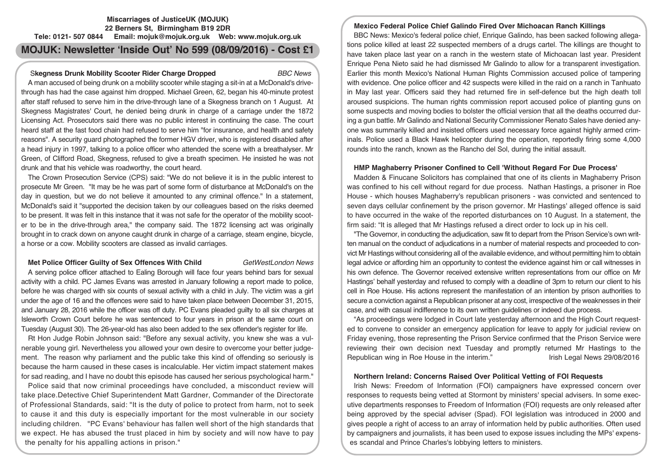# **Miscarriages of JusticeUK (MOJUK) 22 Berners St, Birmingham B19 2DR Tele: 0121- 507 0844 Email: mojuk@mojuk.org.uk Web: www.mojuk.org.uk**

# **MOJUK: Newsletter 'Inside Out' No 599 (08/09/2016) - Cost £1**

# S**kegness Drunk Mobility Scooter Rider Charge Dropped** *BBC News*

A man accused of being drunk on a mobility scooter while staging a sit-in at a McDonald's drivethrough has had the case against him dropped. Michael Green, 62, began his 40-minute protest after staff refused to serve him in the drive-through lane of a Skegness branch on 1 August. At Skegness Magistrates' Court, he denied being drunk in charge of a carriage under the 1872

Licensing Act. Prosecutors said there was no public interest in continuing the case. The court heard staff at the fast food chain had refused to serve him "for insurance, and health and safety reasons". A security guard photographed the former HGV driver, who is registered disabled after a head injury in 1997, talking to a police officer who attended the scene with a breathalyser. Mr Green, of Clifford Road, Skegness, refused to give a breath specimen. He insisted he was not drunk and that his vehicle was roadworthy, the court heard.

The Crown Prosecution Service (CPS) said: "We do not believe it is in the public interest to prosecute Mr Green. "It may be he was part of some form of disturbance at McDonald's on the day in question, but we do not believe it amounted to any criminal offence." In a statement, McDonald's said it "supported the decision taken by our colleagues based on the risks deemed to be present. It was felt in this instance that it was not safe for the operator of the mobility scooter to be in the drive-through area," the company said. The 1872 licensing act was originally brought in to crack down on anyone caught drunk in charge of a carriage, steam engine, bicycle, a horse or a cow. Mobility scooters are classed as invalid carriages.

#### **Met Police Officer Guilty of Sex Offences With Child** *GetWestLondon News*

A serving police officer attached to Ealing Borough will face four years behind bars for sexual activity with a child. PC James Evans was arrested in January following a report made to police, before he was charged with six counts of sexual activity with a child in July. The victim was a girl under the age of 16 and the offences were said to have taken place between December 31, 2015, and January 28, 2016 while the officer was off duty. PC Evans pleaded guilty to all six charges at Isleworth Crown Court before he was sentenced to four years in prison at the same court on Tuesday (August 30). The 26-year-old has also been added to the sex offender's register for life.

Rt Hon Judge Robin Johnson said: "Before any sexual activity, you knew she was a vulnerable young girl. Nevertheless you allowed your own desire to overcome your better judgement. The reason why parliament and the public take this kind of offending so seriously is because the harm caused in these cases is incalculable. Her victim impact statement makes for sad reading, and I have no doubt this episode has caused her serious psychological harm."

Police said that now criminal proceedings have concluded, a misconduct review will take place.Detective Chief Superintendent Matt Gardner, Commander of the Directorate of Professional Standards, said: "It is the duty of police to protect from harm, not to seek to cause it and this duty is especially important for the most vulnerable in our society including children. "PC Evans' behaviour has fallen well short of the high standards that we expect. He has abused the trust placed in him by society and will now have to pay the penalty for his appalling actions in prison."

# **Mexico Federal Police Chief Galindo Fired Over Michoacan Ranch Killings**

BBC News: Mexico's federal police chief, Enrique Galindo, has been sacked following allegations police killed at least 22 suspected members of a drugs cartel. The killings are thought to have taken place last year on a ranch in the western state of Michoacan last year. President Enrique Pena Nieto said he had dismissed Mr Galindo to allow for a transparent investigation. Earlier this month Mexico's National Human Rights Commission accused police of tampering with evidence. One police officer and 42 suspects were killed in the raid on a ranch in Tanhuato in May last year. Officers said they had returned fire in self-defence but the high death toll aroused suspicions. The human rights commission report accused police of planting guns on some suspects and moving bodies to bolster the official version that all the deaths occurred during a gun battle. Mr Galindo and National Security Commissioner Renato Sales have denied anyone was summarily killed and insisted officers used necessary force against highly armed criminals. Police used a Black Hawk helicopter during the operation, reportedly firing some 4,000 rounds into the ranch, known as the Rancho del Sol, during the initial assault.

# **HMP Maghaberry Prisoner Confined to Cell 'Without Regard For Due Process'**

Madden & Finucane Solicitors has complained that one of its clients in Maghaberry Prison was confined to his cell without regard for due process. Nathan Hastings, a prisoner in Roe House - which houses Maghaberry's republican prisoners - was convicted and sentenced to seven days cellular confinement by the prison governor. Mr Hastings' alleged offence is said to have occurred in the wake of the reported disturbances on 10 August. In a statement, the firm said: "It is alleged that Mr Hastings refused a direct order to lock up in his cell.

"The Governor, in conducting the adjudication, saw fit to depart from the Prison Service's own written manual on the conduct of adjudications in a number of material respects and proceeded to convict Mr Hastings without considering all of the available evidence, and without permitting him to obtain legal advice or affording him an opportunity to contest the evidence against him or call witnesses in his own defence. The Governor received extensive written representations from our office on Mr Hastings' behalf yesterday and refused to comply with a deadline of 3pm to return our client to his cell in Roe House. His actions represent the manifestation of an intention by prison authorities to secure a conviction against a Republican prisoner at any cost, irrespective of the weaknesses in their case, and with casual indifference to its own written guidelines or indeed due process.

"As proceedings were lodged in Court late yesterday afternoon and the High Court requested to convene to consider an emergency application for leave to apply for judicial review on Friday evening, those representing the Prison Service confirmed that the Prison Service were reviewing their own decision next Tuesday and promptly returned Mr Hastings to the Republican wing in Roe House in the interim." Irish Legal News 29/08/2016

# **Northern Ireland: Concerns Raised Over Political Vetting of FOI Requests**

Irish News: Freedom of Information (FOI) campaigners have expressed concern over responses to requests being vetted at Stormont by ministers' special advisers. In some executive departments responses to Freedom of Information (FOI) requests are only released after being approved by the special adviser (Spad). FOI legislation was introduced in 2000 and gives people a right of access to an array of information held by public authorities. Often used by campaigners and journalists, it has been used to expose issues including the MPs' expenses scandal and Prince Charles's lobbying letters to ministers.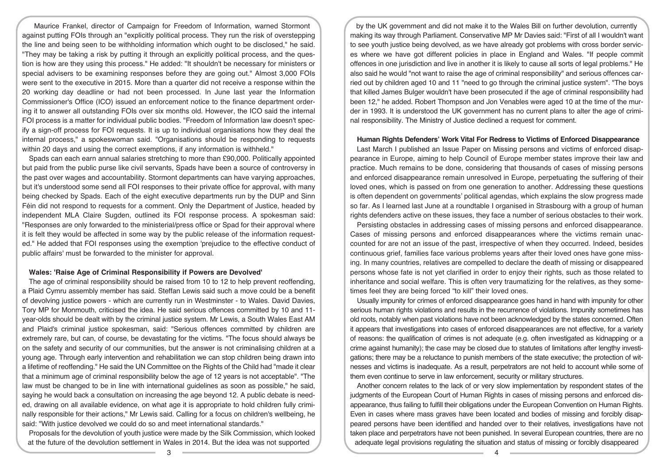Maurice Frankel, director of Campaign for Freedom of Information, warned Stormont against putting FOIs through an "explicitly political process. They run the risk of overstepping the line and being seen to be withholding information which ought to be disclosed," he said. "They may be taking a risk by putting it through an explicitly political process, and the question is how are they using this process." He added: "It shouldn't be necessary for ministers or special advisers to be examining responses before they are going out." Almost 3,000 FOIs were sent to the executive in 2015. More than a quarter did not receive a response within the 20 working day deadline or had not been processed. In June last year the Information Commissioner's Office (ICO) issued an enforcement notice to the finance department ordering it to answer all outstanding FOIs over six months old. However, the ICO said the internal FOI process is a matter for individual public bodies. "Freedom of Information law doesn't specify a sign-off process for FOI requests. It is up to individual organisations how they deal the internal process," a spokeswoman said. "Organisations should be responding to requests within 20 days and using the correct exemptions, if any information is withheld."

Spads can each earn annual salaries stretching to more than £90,000. Politically appointed but paid from the public purse like civil servants, Spads have been a source of controversy in the past over wages and accountability. Stormont departments can have varying approaches, but it's understood some send all FOI responses to their private office for approval, with many being checked by Spads. Each of the eight executive departments run by the DUP and Sinn Féin did not respond to requests for a comment. Only the Department of Justice, headed by independent MLA Claire Sugden, outlined its FOI response process. A spokesman said: "Responses are only forwarded to the ministerial/press office or Spad for their approval where it is felt they would be affected in some way by the public release of the information requested." He added that FOI responses using the exemption 'prejudice to the effective conduct of public affairs' must be forwarded to the minister for approval.

### **Wales: 'Raise Age of Criminal Responsibility if Powers are Devolved'**

The age of criminal responsibility should be raised from 10 to 12 to help prevent reoffending, a Plaid Cymru assembly member has said. Steffan Lewis said such a move could be a benefit of devolving justice powers - which are currently run in Westminster - to Wales. David Davies, Tory MP for Monmouth, criticised the idea. He said serious offences committed by 10 and 11 year-olds should be dealt with by the criminal justice system. Mr Lewis, a South Wales East AM and Plaid's criminal justice spokesman, said: "Serious offences committed by children are extremely rare, but can, of course, be devastating for the victims. "The focus should always be on the safety and security of our communities, but the answer is not criminalising children at a young age. Through early intervention and rehabilitation we can stop children being drawn into a lifetime of reoffending." He said the UN Committee on the Rights of the Child had "made it clear that a minimum age of criminal responsibility below the age of 12 years is not acceptable". "The law must be changed to be in line with international guidelines as soon as possible," he said, saying he would back a consultation on increasing the age beyond 12. A public debate is needed, drawing on all available evidence, on what age it is appropriate to hold children fully criminally responsible for their actions," Mr Lewis said. Calling for a focus on children's wellbeing, he said: "With justice devolved we could do so and meet international standards."

Proposals for the devolution of youth justice were made by the Silk Commission, which looked at the future of the devolution settlement in Wales in 2014. But the idea was not supported

by the UK government and did not make it to the Wales Bill on further devolution, currently making its way through Parliament. Conservative MP Mr Davies said: "First of all I wouldn't want to see youth justice being devolved, as we have already got problems with cross border services where we have got different policies in place in England and Wales. "If people commit offences in one jurisdiction and live in another it is likely to cause all sorts of legal problems." He also said he would "not want to raise the age of criminal responsibility" and serious offences carried out by children aged 10 and 11 "need to go through the criminal justice system". "The boys that killed James Bulger wouldn't have been prosecuted if the age of criminal responsibility had been 12," he added. Robert Thompson and Jon Venables were aged 10 at the time of the murder in 1993. It is understood the UK government has no current plans to alter the age of criminal responsibility. The Ministry of Justice declined a request for comment.

# **Human Rights Defenders' Work Vital For Redress to Victims of Enforced Disappearance**

Last March I published an Issue Paper on Missing persons and victims of enforced disappearance in Europe, aiming to help Council of Europe member states improve their law and practice. Much remains to be done, considering that thousands of cases of missing persons and enforced disappearance remain unresolved in Europe, perpetuating the suffering of their loved ones, which is passed on from one generation to another. Addressing these questions is often dependent on governments' political agendas, which explains the slow progress made so far. As I learned last June at a roundtable I organised in Strasbourg with a group of human rights defenders active on these issues, they face a number of serious obstacles to their work.

Persisting obstacles in addressing cases of missing persons and enforced disappearance. Cases of missing persons and enforced disappearances where the victims remain unaccounted for are not an issue of the past, irrespective of when they occurred. Indeed, besides continuous grief, families face various problems years after their loved ones have gone missing. In many countries, relatives are compelled to declare the death of missing or disappeared persons whose fate is not yet clarified in order to enjoy their rights, such as those related to inheritance and social welfare. This is often very traumatizing for the relatives, as they sometimes feel they are being forced "to kill" their loved ones.

Usually impunity for crimes of enforced disappearance goes hand in hand with impunity for other serious human rights violations and results in the recurrence of violations. Impunity sometimes has old roots, notably when past violations have not been acknowledged by the states concerned. Often it appears that investigations into cases of enforced disappearances are not effective, for a variety of reasons: the qualification of crimes is not adequate (e.g. often investigated as kidnapping or a crime against humanity); the case may be closed due to statutes of limitations after lengthy investigations; there may be a reluctance to punish members of the state executive; the protection of witnesses and victims is inadequate. As a result, perpetrators are not held to account while some of them even continue to serve in law enforcement, security or military structures.

Another concern relates to the lack of or very slow implementation by respondent states of the judgments of the European Court of Human Rights in cases of missing persons and enforced disappearance, thus failing to fulfill their obligations under the European Convention on Human Rights. Even in cases where mass graves have been located and bodies of missing and forcibly disappeared persons have been identified and handed over to their relatives, investigations have not taken place and perpetrators have not been punished. In several European countries, there are no adequate legal provisions regulating the situation and status of missing or forcibly disappeared

 $\overline{3}$   $\overline{4}$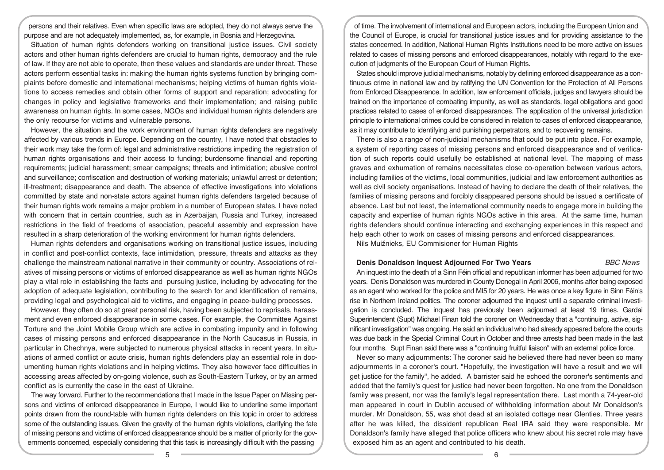persons and their relatives. Even when specific laws are adopted, they do not always serve the purpose and are not adequately implemented, as, for example, in Bosnia and Herzegovina.

Situation of human rights defenders working on transitional justice issues. Civil society actors and other human rights defenders are crucial to human rights, democracy and the rule of law. If they are not able to operate, then these values and standards are under threat. These actors perform essential tasks in: making the human rights systems function by bringing complaints before domestic and international mechanisms; helping victims of human rights violations to access remedies and obtain other forms of support and reparation; advocating for changes in policy and legislative frameworks and their implementation; and raising public awareness on human rights. In some cases, NGOs and individual human rights defenders are the only recourse for victims and vulnerable persons.

However, the situation and the work environment of human rights defenders are negatively affected by various trends in Europe. Depending on the country, I have noted that obstacles to their work may take the form of: legal and administrative restrictions impeding the registration of human rights organisations and their access to funding; burdensome financial and reporting requirements; judicial harassment; smear campaigns; threats and intimidation; abusive control and surveillance; confiscation and destruction of working materials; unlawful arrest or detention; ill-treatment; disappearance and death. The absence of effective investigations into violations committed by state and non-state actors against human rights defenders targeted because of their human rights work remains a major problem in a number of European states. I have noted with concern that in certain countries, such as in Azerbaijan, Russia and Turkey, increased restrictions in the field of freedoms of association, peaceful assembly and expression have resulted in a sharp deterioration of the working environment for human rights defenders.

Human rights defenders and organisations working on transitional justice issues, including in conflict and post-conflict contexts, face intimidation, pressure, threats and attacks as they challenge the mainstream national narrative in their community or country. Associations of relatives of missing persons or victims of enforced disappearance as well as human rights NGOs play a vital role in establishing the facts and pursuing justice, including by advocating for the adoption of adequate legislation, contributing to the search for and identification of remains, providing legal and psychological aid to victims, and engaging in peace-building processes.

However, they often do so at great personal risk, having been subjected to reprisals, harassment and even enforced disappearance in some cases. For example, the Committee Against Torture and the Joint Mobile Group which are active in combating impunity and in following cases of missing persons and enforced disappearance in the North Caucasus in Russia, in particular in Chechnya, were subjected to numerous physical attacks in recent years. In situations of armed conflict or acute crisis, human rights defenders play an essential role in documenting human rights violations and in helping victims. They also however face difficulties in accessing areas affected by on-going violence, such as South-Eastern Turkey, or by an armed conflict as is currently the case in the east of Ukraine.

The way forward. Further to the recommendations that I made in the Issue Paper on Missing persons and victims of enforced disappearance in Europe, I would like to underline some important points drawn from the round-table with human rights defenders on this topic in order to address some of the outstanding issues. Given the gravity of the human rights violations, clarifying the fate of missing persons and victims of enforced disappearance should be a matter of priority for the governments concerned, especially considering that this task is increasingly difficult with the passing

of time. The involvement of international and European actors, including the European Union and the Council of Europe, is crucial for transitional justice issues and for providing assistance to the states concerned. In addition, National Human Rights Institutions need to be more active on issues related to cases of missing persons and enforced disappearances, notably with regard to the execution of judgments of the European Court of Human Rights.

States should improve judicial mechanisms, notably by defining enforced disappearance as a continuous crime in national law and by ratifying the UN Convention for the Protection of All Persons from Enforced Disappearance. In addition, law enforcement officials, judges and lawyers should be trained on the importance of combating impunity, as well as standards, legal obligations and good practices related to cases of enforced disappearances. The application of the universal jurisdiction principle to international crimes could be considered in relation to cases of enforced disappearance, as it may contribute to identifying and punishing perpetrators, and to recovering remains.

There is also a range of non-judicial mechanisms that could be put into place. For example, a system of reporting cases of missing persons and enforced disappearance and of verification of such reports could usefully be established at national level. The mapping of mass graves and exhumation of remains necessitates close co-operation between various actors, including families of the victims, local communities, judicial and law enforcement authorities as well as civil society organisations. Instead of having to declare the death of their relatives, the families of missing persons and forcibly disappeared persons should be issued a certificate of absence. Last but not least, the international community needs to engage more in building the capacity and expertise of human rights NGOs active in this area. At the same time, human rights defenders should continue interacting and exchanging experiences in this respect and help each other to work on cases of missing persons and enforced disappearances.

Nils Muižnieks, EU Commisioner for Human Rights

## **Denis Donaldson Inquest Adjourned For Two Years** *BBC News*

An inquest into the death of a Sinn Féin official and republican informer has been adjourned for two years. Denis Donaldson was murdered in County Donegal in April 2006, months after being exposed as an agent who worked for the police and MI5 for 20 years. He was once a key figure in Sinn Féin's rise in Northern Ireland politics. The coroner adjourned the inquest until a separate criminal investigation is concluded. The inquest has previously been adjourned at least 19 times. Gardai Superintendent (Supt) Michael Finan told the coroner on Wednesday that a "continuing, active, significant investigation" was ongoing. He said an individual who had already appeared before the courts was due back in the Special Criminal Court in October and three arrests had been made in the last four months. Supt Finan said there was a "continuing fruitful liaison" with an external police force.

Never so many adjournments: The coroner said he believed there had never been so many adjournments in a coroner's court. "Hopefully, the investigation will have a result and we will get justice for the family", he added. A barrister said he echoed the coroner's sentiments and added that the family's quest for justice had never been forgotten. No one from the Donaldson family was present, nor was the family's legal representation there. Last month a 74-year-old man appeared in court in Dublin accused of withholding information about Mr Donaldson's murder. Mr Donaldson, 55, was shot dead at an isolated cottage near Glenties. Three years after he was killed, the dissident republican Real IRA said they were responsible. Mr Donaldson's family have alleged that police officers who knew about his secret role may have exposed him as an agent and contributed to his death.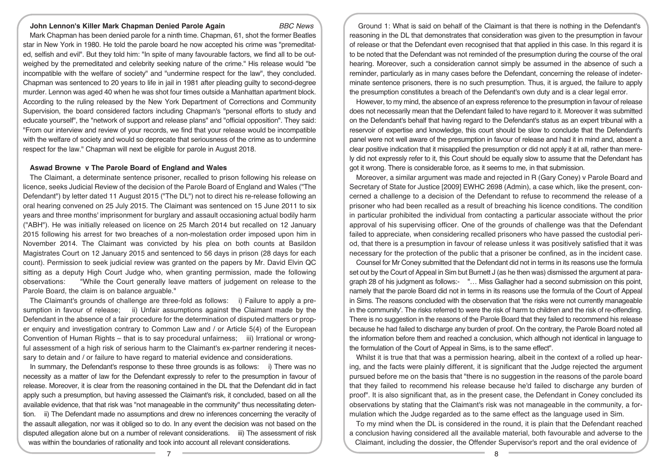#### **John Lennon's Killer Mark Chapman Denied Parole Again** *BBC News*

Mark Chapman has been denied parole for a ninth time. Chapman, 61, shot the former Beatles star in New York in 1980. He told the parole board he now accepted his crime was "premeditated, selfish and evil". But they told him: "In spite of many favourable factors, we find all to be outweighed by the premeditated and celebrity seeking nature of the crime." His release would "be incompatible with the welfare of society" and "undermine respect for the law", they concluded. Chapman was sentenced to 20 years to life in jail in 1981 after pleading guilty to second-degree murder. Lennon was aged 40 when he was shot four times outside a Manhattan apartment block. According to the ruling released by the New York Department of Corrections and Community Supervision, the board considered factors including Chapman's "personal efforts to study and educate yourself", the "network of support and release plans" and "official opposition". They said: "From our interview and review of your records, we find that your release would be incompatible with the welfare of society and would so deprecate that seriousness of the crime as to undermine respect for the law." Chapman will next be eligible for parole in August 2018.

#### **Aswad Browne v The Parole Board of England and Wales**

The Claimant, a determinate sentence prisoner, recalled to prison following his release on licence, seeks Judicial Review of the decision of the Parole Board of England and Wales ("The Defendant") by letter dated 11 August 2015 ("The DL") not to direct his re-release following an oral hearing convened on 25 July 2015. The Claimant was sentenced on 15 June 2011 to six years and three months' imprisonment for burglary and assault occasioning actual bodily harm ("ABH"). He was initially released on licence on 25 March 2014 but recalled on 12 January 2015 following his arrest for two breaches of a non-molestation order imposed upon him in November 2014. The Claimant was convicted by his plea on both counts at Basildon Magistrates Court on 12 January 2015 and sentenced to 56 days in prison (28 days for each count). Permission to seek judicial review was granted on the papers by Mr. David Elvin QC sitting as a deputy High Court Judge who, when granting permission, made the following observations: "While the Court generally leave matters of judgement on release to the Parole Board, the claim is on balance arguable."

The Claimant's grounds of challenge are three-fold as follows: i) Failure to apply a presumption in favour of release; ii) Unfair assumptions against the Claimant made by the Defendant in the absence of a fair procedure for the determination of disputed matters or proper enquiry and investigation contrary to Common Law and / or Article 5(4) of the European Convention of Human Rights – that is to say procedural unfairness; iii) Irrational or wrongful assessment of a high risk of serious harm to the Claimant's ex-partner rendering it necessary to detain and / or failure to have regard to material evidence and considerations.

In summary, the Defendant's response to these three grounds is as follows: i) There was no necessity as a matter of law for the Defendant expressly to refer to the presumption in favour of release. Moreover, it is clear from the reasoning contained in the DL that the Defendant did in fact apply such a presumption, but having assessed the Claimant's risk, it concluded, based on all the available evidence, that that risk was "not manageable in the community" thus necessitating detention. ii) The Defendant made no assumptions and drew no inferences concerning the veracity of the assault allegation, nor was it obliged so to do. In any event the decision was not based on the disputed allegation alone but on a number of relevant considerations. iii) The assessment of risk was within the boundaries of rationality and took into account all relevant considerations.

Ground 1: What is said on behalf of the Claimant is that there is nothing in the Defendant's reasoning in the DL that demonstrates that consideration was given to the presumption in favour of release or that the Defendant even recognised that that applied in this case. In this regard it is to be noted that the Defendant was not reminded of the presumption during the course of the oral hearing. Moreover, such a consideration cannot simply be assumed in the absence of such a reminder, particularly as in many cases before the Defendant, concerning the release of indeterminate sentence prisoners, there is no such presumption. Thus, it is argued, the failure to apply the presumption constitutes a breach of the Defendant's own duty and is a clear legal error.

However, to my mind, the absence of an express reference to the presumption in favour of release does not necessarily mean that the Defendant failed to have regard to it. Moreover it was submitted on the Defendant's behalf that having regard to the Defendant's status as an expert tribunal with a reservoir of expertise and knowledge, this court should be slow to conclude that the Defendant's panel were not well aware of the presumption in favour of release and had it in mind and, absent a clear positive indication that it misapplied the presumption or did not apply it at all, rather than merely did not expressly refer to it, this Court should be equally slow to assume that the Defendant has got it wrong. There is considerable force, as it seems to me, in that submission.

Moreover, a similar argument was made and rejected in R (Gary Coney) v Parole Board and Secretary of State for Justice [2009] EWHC 2698 (Admin), a case which, like the present, concerned a challenge to a decision of the Defendant to refuse to recommend the release of a prisoner who had been recalled as a result of breaching his licence conditions. The condition in particular prohibited the individual from contacting a particular associate without the prior approval of his supervising officer. One of the grounds of challenge was that the Defendant failed to appreciate, when considering recalled prisoners who have passed the custodial period, that there is a presumption in favour of release unless it was positively satisfied that it was necessary for the protection of the public that a prisoner be confined, as in the incident case.

Counsel for Mr Coney submitted that the Defendant did not in terms in its reasons use the formula set out by the Court of Appeal in Sim but Burnett J (as he then was) dismissed the argument at paragraph 28 of his judgment as follows:- "... Miss Gallagher had a second submission on this point, namely that the parole Board did not in terms in its reasons use the formula of the Court of Appeal in Sims. The reasons concluded with the observation that 'the risks were not currently manageable in the community'. The risks referred to were the risk of harm to children and the risk of re-offending. There is no suggestion in the reasons of the Parole Board that they failed to recommend his release because he had failed to discharge any burden of proof. On the contrary, the Parole Board noted all the information before them and reached a conclusion, which although not identical in language to the formulation of the Court of Appeal in Sims, is to the same effect".

Whilst it is true that that was a permission hearing, albeit in the context of a rolled up hearing, and the facts were plainly different, it is significant that the Judge rejected the argument pursued before me on the basis that "there is no suggestion in the reasons of the parole board that they failed to recommend his release because he'd failed to discharge any burden of proof". It is also significant that, as in the present case, the Defendant in Coney concluded its observations by stating that the Claimant's risk was not manageable in the community, a formulation which the Judge regarded as to the same effect as the language used in Sim.

To my mind when the DL is considered in the round, it is plain that the Defendant reached a conclusion having considered all the available material, both favourable and adverse to the Claimant, including the dossier, the Offender Supervisor's report and the oral evidence of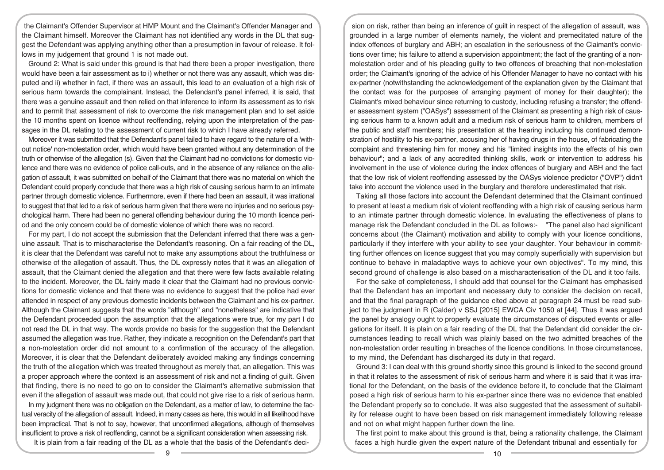the Claimant's Offender Supervisor at HMP Mount and the Claimant's Offender Manager and the Claimant himself. Moreover the Claimant has not identified any words in the DL that suggest the Defendant was applying anything other than a presumption in favour of release. It follows in my judgement that ground 1 is not made out.

Ground 2: What is said under this ground is that had there been a proper investigation, there would have been a fair assessment as to i) whether or not there was any assault, which was disputed and ii) whether in fact, if there was an assault, this lead to an evaluation of a high risk of serious harm towards the complainant. Instead, the Defendant's panel inferred, it is said, that there was a genuine assault and then relied on that inference to inform its assessment as to risk and to permit that assessment of risk to overcome the risk management plan and to set aside the 10 months spent on licence without reoffending, relying upon the interpretation of the passages in the DL relating to the assessment of current risk to which I have already referred.

Moreover it was submitted that the Defendant's panel failed to have regard to the nature of a 'without notice' non-molestation order, which would have been granted without any determination of the truth or otherwise of the allegation (s). Given that the Claimant had no convictions for domestic violence and there was no evidence of police call-outs, and in the absence of any reliance on the allegation of assault, it was submitted on behalf of the Claimant that there was no material on which the Defendant could properly conclude that there was a high risk of causing serious harm to an intimate partner through domestic violence. Furthermore, even if there had been an assault, it was irrational to suggest that that led to a risk of serious harm given that there were no injuries and no serious psychological harm. There had been no general offending behaviour during the 10 month licence period and the only concern could be of domestic violence of which there was no record.

For my part, I do not accept the submission that the Defendant inferred that there was a genuine assault. That is to mischaracterise the Defendant's reasoning. On a fair reading of the DL, it is clear that the Defendant was careful not to make any assumptions about the truthfulness or otherwise of the allegation of assault. Thus, the DL expressly notes that it was an allegation of assault, that the Claimant denied the allegation and that there were few facts available relating to the incident. Moreover, the DL fairly made it clear that the Claimant had no previous convictions for domestic violence and that there was no evidence to suggest that the police had ever attended in respect of any previous domestic incidents between the Claimant and his ex-partner. Although the Claimant suggests that the words "although" and "nonetheless" are indicative that the Defendant proceeded upon the assumption that the allegations were true, for my part I do not read the DL in that way. The words provide no basis for the suggestion that the Defendant assumed the allegation was true. Rather, they indicate a recognition on the Defendant's part that a non-molestation order did not amount to a confirmation of the accuracy of the allegation. Moreover, it is clear that the Defendant deliberately avoided making any findings concerning the truth of the allegation which was treated throughout as merely that, an allegation. This was a proper approach where the context is an assessment of risk and not a finding of guilt. Given that finding, there is no need to go on to consider the Claimant's alternative submission that even if the allegation of assault was made out, that could not give rise to a risk of serious harm.

In my judgment there was no obligation on the Defendant, as a matter of law, to determine the factual veracity of the allegation of assault. Indeed, in many cases as here, this would in all likelihood have been impractical. That is not to say, however, that unconfirmed allegations, although of themselves insufficient to prove a risk of reoffending, cannot be a significant consideration when assessing risk.

It is plain from a fair reading of the DL as a whole that the basis of the Defendant's deci-

sion on risk, rather than being an inference of guilt in respect of the allegation of assault, was grounded in a large number of elements namely, the violent and premeditated nature of the index offences of burglary and ABH; an escalation in the seriousness of the Claimant's convictions over time; his failure to attend a supervision appointment; the fact of the granting of a nonmolestation order and of his pleading guilty to two offences of breaching that non-molestation order; the Claimant's ignoring of the advice of his Offender Manager to have no contact with his ex-partner (notwithstanding the acknowledgement of the explanation given by the Claimant that the contact was for the purposes of arranging payment of money for their daughter); the Claimant's mixed behaviour since returning to custody, including refusing a transfer; the offender assessment system ("OASys") assessment of the Claimant as presenting a high risk of causing serious harm to a known adult and a medium risk of serious harm to children, members of the public and staff members; his presentation at the hearing including his continued demonstration of hostility to his ex-partner, accusing her of having drugs in the house, of fabricating the complaint and threatening him for money and his "limited insights into the effects of his own behaviour"; and a lack of any accredited thinking skills, work or intervention to address his involvement in the use of violence during the index offences of burglary and ABH and the fact that the low risk of violent reoffending assessed by the OASys violence predictor ("OVP") didn't take into account the violence used in the burglary and therefore underestimated that risk.

Taking all those factors into account the Defendant determined that the Claimant continued to present at least a medium risk of violent reoffending with a high risk of causing serious harm to an intimate partner through domestic violence. In evaluating the effectiveness of plans to manage risk the Defendant concluded in the DL as follows:- "The panel also had significant concerns about (the Claimant) motivation and ability to comply with your licence conditions, particularly if they interfere with your ability to see your daughter. Your behaviour in committing further offences on licence suggest that you may comply superficially with supervision but continue to behave in maladaptive ways to achieve your own objectives". To my mind, this second ground of challenge is also based on a mischaracterisation of the DL and it too fails.

For the sake of completeness, I should add that counsel for the Claimant has emphasised that the Defendant has an important and necessary duty to consider the decision on recall, and that the final paragraph of the guidance cited above at paragraph 24 must be read subject to the judgment in R (Calder) v SSJ [2015] EWCA Civ 1050 at [44]. Thus it was argued the panel by analogy ought to properly evaluate the circumstances of disputed events or allegations for itself. It is plain on a fair reading of the DL that the Defendant did consider the circumstances leading to recall which was plainly based on the two admitted breaches of the non-molestation order resulting in breaches of the licence conditions. In those circumstances, to my mind, the Defendant has discharged its duty in that regard.

Ground 3: I can deal with this ground shortly since this ground is linked to the second ground in that it relates to the assessment of risk of serious harm and where it is said that it was irrational for the Defendant, on the basis of the evidence before it, to conclude that the Claimant posed a high risk of serious harm to his ex-partner since there was no evidence that enabled the Defendant properly so to conclude. It was also suggested that the assessment of suitability for release ought to have been based on risk management immediately following release and not on what might happen further down the line.

The first point to make about this ground is that, being a rationality challenge, the Claimant faces a high hurdle given the expert nature of the Defendant tribunal and essentially for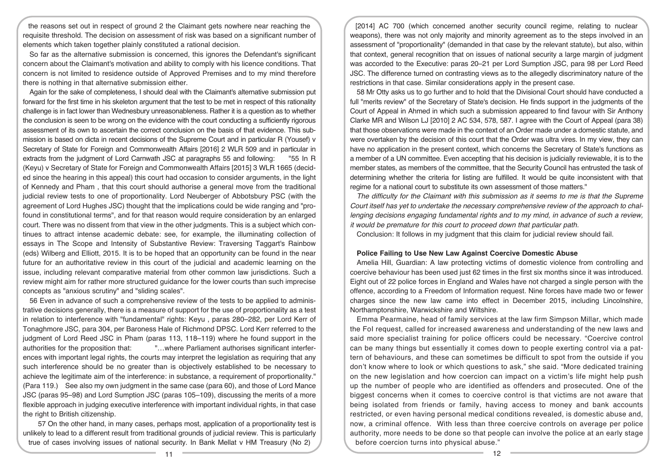the reasons set out in respect of ground 2 the Claimant gets nowhere near reaching the requisite threshold. The decision on assessment of risk was based on a significant number of elements which taken together plainly constituted a rational decision.

So far as the alternative submission is concerned, this ignores the Defendant's significant concern about the Claimant's motivation and ability to comply with his licence conditions. That concern is not limited to residence outside of Approved Premises and to my mind therefore there is nothing in that alternative submission either.

Again for the sake of completeness, I should deal with the Claimant's alternative submission put forward for the first time in his skeleton argument that the test to be met in respect of this rationality challenge is in fact lower than Wednesbury unreasonableness. Rather it is a question as to whether the conclusion is seen to be wrong on the evidence with the court conducting a sufficiently rigorous assessment of its own to ascertain the correct conclusion on the basis of that evidence. This submission is based on dicta in recent decisions of the Supreme Court and in particular R (Yousef) v Secretary of State for Foreign and Commonwealth Affairs [2016] 2 WLR 509 and in particular in extracts from the judgment of Lord Carnwath JSC at paragraphs 55 and following: "55 In R (Keyu) v Secretary of State for Foreign and Commonwealth Affairs [2015] 3 WLR 1665 (decided since the hearing in this appeal) this court had occasion to consider arguments, in the light of Kennedy and Pham , that this court should authorise a general move from the traditional judicial review tests to one of proportionality. Lord Neuberger of Abbotsbury PSC (with the agreement of Lord Hughes JSC) thought that the implications could be wide ranging and "profound in constitutional terms", and for that reason would require consideration by an enlarged court. There was no dissent from that view in the other judgments. This is a subject which continues to attract intense academic debate: see, for example, the illuminating collection of essays in The Scope and Intensity of Substantive Review: Traversing Taggart's Rainbow (eds) Wilberg and Elliott, 2015. It is to be hoped that an opportunity can be found in the near future for an authoritative review in this court of the judicial and academic learning on the issue, including relevant comparative material from other common law jurisdictions. Such a review might aim for rather more structured guidance for the lower courts than such imprecise concepts as "anxious scrutiny" and "sliding scales".

56 Even in advance of such a comprehensive review of the tests to be applied to administrative decisions generally, there is a measure of support for the use of proportionality as a test in relation to interference with "fundamental" rights: Keyu , paras 280–282, per Lord Kerr of Tonaghmore JSC, para 304, per Baroness Hale of Richmond DPSC. Lord Kerr referred to the judgment of Lord Reed JSC in Pham (paras 113, 118–119) where he found support in the authorities for the proposition that: "…where Parliament authorises significant interferences with important legal rights, the courts may interpret the legislation as requiring that any such interference should be no greater than is objectively established to be necessary to achieve the legitimate aim of the interference: in substance, a requirement of proportionality." (Para 119.) See also my own judgment in the same case (para 60), and those of Lord Mance JSC (paras 95–98) and Lord Sumption JSC (paras 105–109), discussing the merits of a more flexible approach in judging executive interference with important individual rights, in that case the right to British citizenship.

57 On the other hand, in many cases, perhaps most, application of a proportionality test is unlikely to lead to a different result from traditional grounds of judicial review. This is particularly true of cases involving issues of national security. In Bank Mellat v HM Treasury (No 2)

[2014] AC 700 (which concerned another security council regime, relating to nuclear weapons), there was not only majority and minority agreement as to the steps involved in an assessment of "proportionality" (demanded in that case by the relevant statute), but also, within that context, general recognition that on issues of national security a large margin of judgment was accorded to the Executive: paras 20–21 per Lord Sumption JSC, para 98 per Lord Reed JSC. The difference turned on contrasting views as to the allegedly discriminatory nature of the restrictions in that case. Similar considerations apply in the present case.

58 Mr Otty asks us to go further and to hold that the Divisional Court should have conducted a full "merits review" of the Secretary of State's decision. He finds support in the judgments of the Court of Appeal in Ahmed in which such a submission appeared to find favour with Sir Anthony Clarke MR and Wilson LJ [2010] 2 AC 534, 578, 587. I agree with the Court of Appeal (para 38) that those observations were made in the context of an Order made under a domestic statute, and were overtaken by the decision of this court that the Order was ultra vires. In my view, they can have no application in the present context, which concerns the Secretary of State's functions as a member of a UN committee. Even accepting that his decision is judicially reviewable, it is to the member states, as members of the committee, that the Security Council has entrusted the task of determining whether the criteria for listing are fulfilled. It would be quite inconsistent with that regime for a national court to substitute its own assessment of those matters."

*The difficulty for the Claimant with this submission as it seems to me is that the Supreme Court itself has yet to undertake the necessary comprehensive review of the approach to challenging decisions engaging fundamental rights and to my mind, in advance of such a review, it would be premature for this court to proceed down that particular path.*

Conclusion: It follows in my judgment that this claim for judicial review should fail.

#### **Police Failing to Use New Law Against Coercive Domestic Abuse**

Amelia Hill, Guardian: A law protecting victims of domestic violence from controlling and coercive behaviour has been used just 62 times in the first six months since it was introduced. Eight out of 22 police forces in England and Wales have not charged a single person with the offence, according to a Freedom of Information request. Nine forces have made two or fewer charges since the new law came into effect in December 2015, including Lincolnshire, Northamptonshire, Warwickshire and Wiltshire.

Emma Pearmaine, head of family services at the law firm Simpson Millar, which made the FoI request, called for increased awareness and understanding of the new laws and said more specialist training for police officers could be necessary. "Coercive control can be many things but essentially it comes down to people exerting control via a pattern of behaviours, and these can sometimes be difficult to spot from the outside if you don't know where to look or which questions to ask," she said. "More dedicated training on the new legislation and how coercion can impact on a victim's life might help push up the number of people who are identified as offenders and prosecuted. One of the biggest concerns when it comes to coercive control is that victims are not aware that being isolated from friends or family, having access to money and bank accounts restricted, or even having personal medical conditions revealed, is domestic abuse and, now, a criminal offence. With less than three coercive controls on average per police authority, more needs to be done so that people can involve the police at an early stage before coercion turns into physical abuse."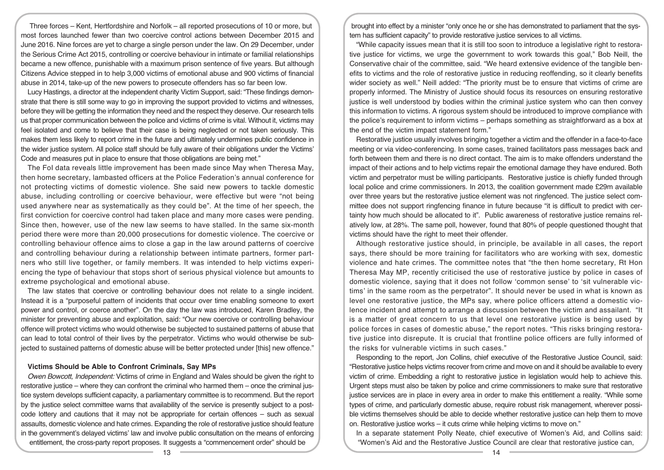Three forces – Kent, Hertfordshire and Norfolk – all reported prosecutions of 10 or more, but most forces launched fewer than two coercive control actions between December 2015 and June 2016. Nine forces are yet to charge a single person under the law. On 29 December, under the Serious Crime Act 2015, controlling or coercive behaviour in intimate or familial relationships became a new offence, punishable with a maximum prison sentence of five years. But although Citizens Advice stepped in to help 3,000 victims of emotional abuse and 900 victims of financial abuse in 2014, take-up of the new powers to prosecute offenders has so far been low.

Lucy Hastings, a director at the independent charity Victim Support, said: "These findings demonstrate that there is still some way to go in improving the support provided to victims and witnesses, before they will be getting the information they need and the respect they deserve. Our research tells us that proper communication between the police and victims of crime is vital. Without it, victims may feel isolated and come to believe that their case is being neglected or not taken seriously. This makes them less likely to report crime in the future and ultimately undermines public confidence in the wider justice system. All police staff should be fully aware of their obligations under the Victims' Code and measures put in place to ensure that those obligations are being met."

The FoI data reveals little improvement has been made since May when Theresa May, then home secretary, lambasted officers at the Police Federation's annual conference for not protecting victims of domestic violence. She said new powers to tackle domestic abuse, including controlling or coercive behaviour, were effective but were "not being used anywhere near as systematically as they could be". At the time of her speech, the first conviction for coercive control had taken place and many more cases were pending. Since then, however, use of the new law seems to have stalled. In the same six-month period there were more than 20,000 prosecutions for domestic violence. The coercive or controlling behaviour offence aims to close a gap in the law around patterns of coercive and controlling behaviour during a relationship between intimate partners, former partners who still live together, or family members. It was intended to help victims experiencing the type of behaviour that stops short of serious physical violence but amounts to extreme psychological and emotional abuse.

The law states that coercive or controlling behaviour does not relate to a single incident. Instead it is a "purposeful pattern of incidents that occur over time enabling someone to exert power and control, or coerce another". On the day the law was introduced, Karen Bradley, the minister for preventing abuse and exploitation, said: "Our new coercive or controlling behaviour offence will protect victims who would otherwise be subjected to sustained patterns of abuse that can lead to total control of their lives by the perpetrator. Victims who would otherwise be subjected to sustained patterns of domestic abuse will be better protected under [this] new offence."

#### **Victims Should be Able to Confront Criminals, Say MPs**

*Owen Bowcott, Independent:* Victims of crime in England and Wales should be given the right to restorative justice – where they can confront the criminal who harmed them – once the criminal justice system develops sufficient capacity, a parliamentary committee is to recommend. But the report by the justice select committee warns that availability of the service is presently subject to a postcode lottery and cautions that it may not be appropriate for certain offences – such as sexual assaults, domestic violence and hate crimes. Expanding the role of restorative justice should feature in the government's delayed victims' law and involve public consultation on the means of enforcing entitlement, the cross-party report proposes. It suggests a "commencement order" should be

brought into effect by a minister "only once he or she has demonstrated to parliament that the system has sufficient capacity" to provide restorative justice services to all victims.

"While capacity issues mean that it is still too soon to introduce a legislative right to restorative justice for victims, we urge the government to work towards this goal," Bob Neill, the Conservative chair of the committee, said. "We heard extensive evidence of the tangible benefits to victims and the role of restorative justice in reducing reoffending, so it clearly benefits wider society as well." Neill added: "The priority must be to ensure that victims of crime are properly informed. The Ministry of Justice should focus its resources on ensuring restorative justice is well understood by bodies within the criminal justice system who can then convey this information to victims. A rigorous system should be introduced to improve compliance with the police's requirement to inform victims – perhaps something as straightforward as a box at the end of the victim impact statement form."

Restorative justice usually involves bringing together a victim and the offender in a face-to-face meeting or via video-conferencing. In some cases, trained facilitators pass messages back and forth between them and there is no direct contact. The aim is to make offenders understand the impact of their actions and to help victims repair the emotional damage they have endured. Both victim and perpetrator must be willing participants. Restorative justice is chiefly funded through local police and crime commissioners. In 2013, the coalition government made £29m available over three years but the restorative justice element was not ringfenced. The justice select committee does not support ringfencing finance in future because "it is difficult to predict with certainty how much should be allocated to it". Public awareness of restorative justice remains relatively low, at 28%. The same poll, however, found that 80% of people questioned thought that victims should have the right to meet their offender.

Although restorative justice should, in principle, be available in all cases, the report says, there should be more training for facilitators who are working with sex, domestic violence and hate crimes. The committee notes that "the then home secretary, Rt Hon Theresa May MP, recently criticised the use of restorative justice by police in cases of domestic violence, saying that it does not follow 'common sense' to 'sit vulnerable victims' in the same room as the perpetrator". It should never be used in what is known as level one restorative justice, the MPs say, where police officers attend a domestic violence incident and attempt to arrange a discussion between the victim and assailant. "It is a matter of great concern to us that level one restorative justice is being used by police forces in cases of domestic abuse," the report notes. "This risks bringing restorative justice into disrepute. It is crucial that frontline police officers are fully informed of the risks for vulnerable victims in such cases."

Responding to the report, Jon Collins, chief executive of the Restorative Justice Council, said: "Restorative justice helps victims recover from crime and move on and it should be available to every victim of crime. Embedding a right to restorative justice in legislation would help to achieve this. Urgent steps must also be taken by police and crime commissioners to make sure that restorative justice services are in place in every area in order to make this entitlement a reality. "While some types of crime, and particularly domestic abuse, require robust risk management, wherever possible victims themselves should be able to decide whether restorative justice can help them to move on. Restorative justice works – it cuts crime while helping victims to move on."

In a separate statement Polly Neate, chief executive of Women's Aid, and Collins said: "Women's Aid and the Restorative Justice Council are clear that restorative justice can,